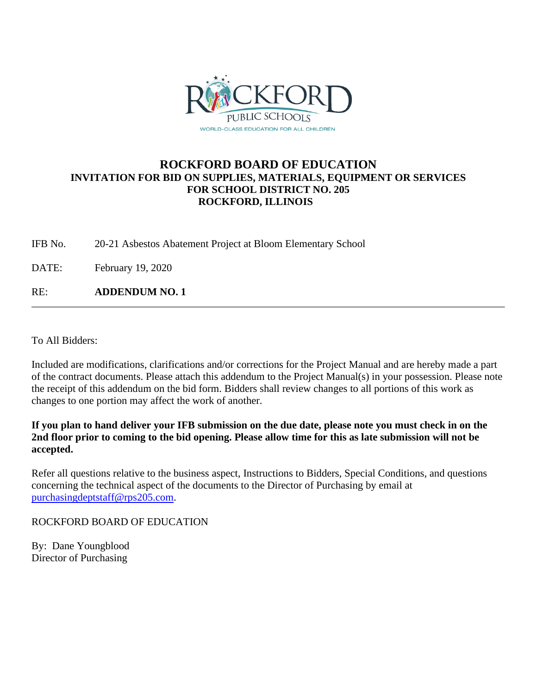

# **ROCKFORD BOARD OF EDUCATION INVITATION FOR BID ON SUPPLIES, MATERIALS, EQUIPMENT OR SERVICES FOR SCHOOL DISTRICT NO. 205 ROCKFORD, ILLINOIS**

IFB No. 20-21 Asbestos Abatement Project at Bloom Elementary School

DATE: February 19, 2020

RE: **ADDENDUM NO. 1**

To All Bidders:

Included are modifications, clarifications and/or corrections for the Project Manual and are hereby made a part of the contract documents. Please attach this addendum to the Project Manual(s) in your possession. Please note the receipt of this addendum on the bid form. Bidders shall review changes to all portions of this work as changes to one portion may affect the work of another.

**If you plan to hand deliver your IFB submission on the due date, please note you must check in on the 2nd floor prior to coming to the bid opening. Please allow time for this as late submission will not be accepted.**

Refer all questions relative to the business aspect, Instructions to Bidders, Special Conditions, and questions concerning the technical aspect of the documents to the Director of Purchasing by email at [purchasingdeptstaff@rps205.com.](mailto:purchasingdeptstaff@rps205.com)

ROCKFORD BOARD OF EDUCATION

By: Dane Youngblood Director of Purchasing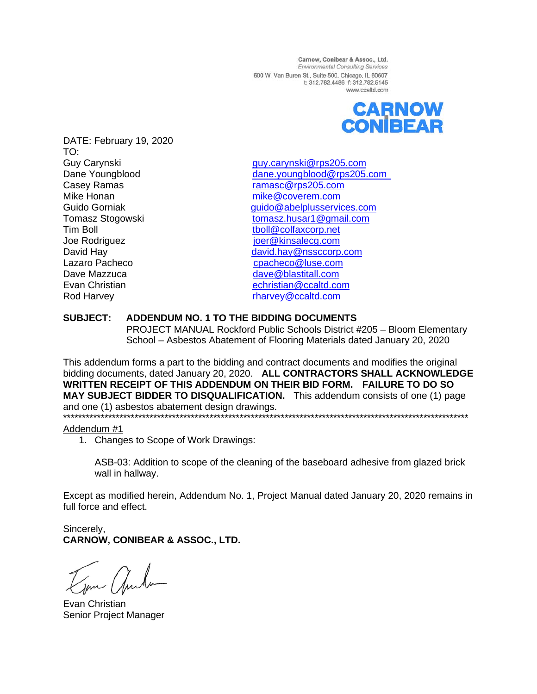Carnow, Conibear & Assoc., Ltd. Environmental Consulting Services 600 W. Van Buren St., Suite 500, Chicago, IL 60607 t: 312.782.4486 f: 312.782.5145 www.ccaltd.com



DATE: February 19, 2020 TO:<br>Guy Carynski Casey Ramas **Casey Ramasc Ramasc Casey Ramasc Ramasc Casey Ramasc Casey Ramasc Casey Ramasc Casey Ramasc Casey Ramasc Casey Ramasc Casey Ramasc Casey Ramasc Casey Ramasc Casey Ramasc Casey Ramas** Mike Honan mike @coverem.com Tim Boll [tboll@colfaxcorp.net](mailto:tboll@colfaxcorp.net) Joe Rodriguez is a series of the series of the series in the series of the series of the series of the series of the series of the series of the series of the series of the series of the series of the series of the series Lazaro Pacheco come contractor come [cpacheco@luse.com](mailto:cpacheco@luse.com) Dave Mazzuca **[dave@blastitall.com](mailto:dave@blastitall.com)** Evan Christian echristian echristian @ccaltd.com Rod Harvey **Rod Harvey Rod Harvey Rod Harvey Rod Harvey Rod Harvey Rod Harvey Rod Harvey Rod Harvey Rod Harvey Rod Harvey Rod Harvey Rod Harvey Rod Harvey Rod Harvey Rod Harvey Rod Harvey Ro** 

Guy Carynski [guy.carynski@rps205.com](mailto:guy.carynski@rps205.com) Dane Youngblood [dane.youngblood@rps205.com](mailto:dane.youngblood@rps205.com) Guido Gorniak **Guido** Gorniak guido @abelplusservices.com Tomasz Stogowski [tomasz.husar1@gmail.com](mailto:tomasz.husar1@gmail.com) David Hay [david.hay@nssccorp.com](mailto:david.hay@nssccorp.com)

## **SUBJECT: ADDENDUM NO. 1 TO THE BIDDING DOCUMENTS**

PROJECT MANUAL Rockford Public Schools District #205 – Bloom Elementary School – Asbestos Abatement of Flooring Materials dated January 20, 2020

This addendum forms a part to the bidding and contract documents and modifies the original bidding documents, dated January 20, 2020. **ALL CONTRACTORS SHALL ACKNOWLEDGE WRITTEN RECEIPT OF THIS ADDENDUM ON THEIR BID FORM. FAILURE TO DO SO MAY SUBJECT BIDDER TO DISQUALIFICATION.** This addendum consists of one (1) page and one (1) asbestos abatement design drawings. \*\*\*\*\*\*\*\*\*\*\*\*\*\*\*\*\*\*\*\*\*\*\*\*\*\*\*\*\*\*\*\*\*\*\*\*\*\*\*\*\*\*\*\*\*\*\*\*\*\*\*\*\*\*\*\*\*\*\*\*\*\*\*\*\*\*\*\*\*\*\*\*\*\*\*\*\*\*\*\*\*\*\*\*\*\*\*\*\*\*\*\*\*\*\*\*\*\*\*\*\*\*\*\*\*\*\*\*

### Addendum #1

1. Changes to Scope of Work Drawings:

ASB-03: Addition to scope of the cleaning of the baseboard adhesive from glazed brick wall in hallway.

Except as modified herein, Addendum No. 1, Project Manual dated January 20, 2020 remains in full force and effect.

Sincerely, **CARNOW, CONIBEAR & ASSOC., LTD.**

un Anta

Evan Christian Senior Project Manager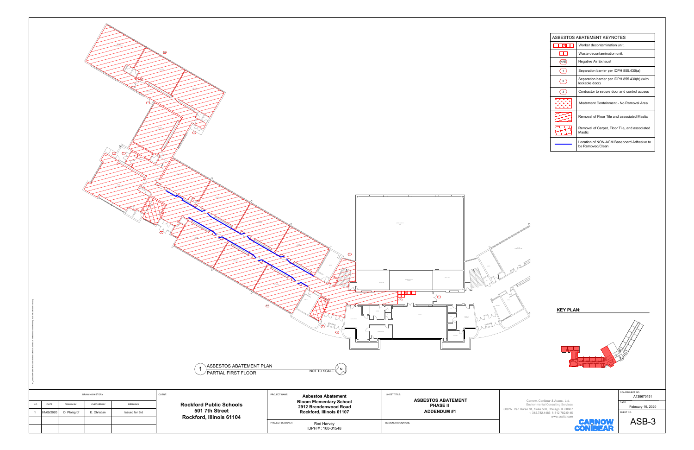





| <b>NAE</b><br>⊙<br>⌒<br>❤                                                                                                                                                                                                                                                                                              | $\circ$<br>MICH R                                                                                                                                                                                                    | $\begin{array}{c} \text{LPPER PMET of}\\ \text{GNN} \end{array}$<br>$\begin{array}{c} \text{UPER PART OF} \\ \text{IMSE} \end{array}$                        | ASBESTOS ABATEMENT KEYNOTES<br>Worker decontamination unit.<br>$\Box$<br>Waste decontamination unit.<br>$\langle$ NAE $\rangle$<br>Negative Air Exhaust<br>$\bigodot$<br>Separation barrier per IDPH 855.430(a)<br>Separation barrier per IDPH 855.430(b) (with<br>$\left\langle \frac{2}{2} \right\rangle$<br>lockable door)<br>$\sqrt{3}$<br>Contractor to secure door and control access<br>Abatement Containment - No Removal Area<br>Removal of Floor Tile and associated Mastic<br>Removal of Carpet, Floor Tile, and associated<br>Mastic<br>Location of NON-ACM Baseboard Adhesive to<br>be Removed/Clean |
|------------------------------------------------------------------------------------------------------------------------------------------------------------------------------------------------------------------------------------------------------------------------------------------------------------------------|----------------------------------------------------------------------------------------------------------------------------------------------------------------------------------------------------------------------|--------------------------------------------------------------------------------------------------------------------------------------------------------------|-------------------------------------------------------------------------------------------------------------------------------------------------------------------------------------------------------------------------------------------------------------------------------------------------------------------------------------------------------------------------------------------------------------------------------------------------------------------------------------------------------------------------------------------------------------------------------------------------------------------|
| $\bigoplus$<br>ASBESTOS ABATEMENT PLAN<br>$\sqrt{\rm{PARTIAL}}$ FIRST FLOOR<br>CLIENT:<br><b>DRAWING HISTORY</b><br><b>Rockford Public Schools</b><br>NO.<br>DATE<br>DRAWN BY:<br>CHECKED BY:<br>REMARKS<br>501 7th Street<br>D. Pfolsgrof<br>Issued for Bid<br>01/09/2020<br>E. Christian<br>Rockford, Illinois 61104 | $\circ$<br>NOT TO SCALE<br>PROJECT NAME:<br><b>Asbestos Abatement</b><br><b>Bloom Elementary School</b><br>2912 Brendenwood Road<br>Rockford, Illinois 61107<br>PROJECT DESIGNER<br>Rod Harvey<br>IDPH # : 100-01548 | HRI I J<br><b>NAE</b><br>تصد<br>FAQUETY<br>LOUNGE<br>SHEET TITLE:<br><b>ASBESTOS ABATEMENT</b><br><b>PHASE II</b><br><b>ADDENDUM#1</b><br>DESIGNER SIGNATURE | <b>KEY PLAN:</b><br>CCA PROJECT NO.<br>A139670151<br>Carnow, Conibear & Assoc., Ltd.<br>DATE:<br><b>Environmental Consulting Services</b><br>February 19, 2020<br>600 W. Van Buren St., Suite 500, Chicago, IL 60607<br>t: 312.782.4486 f: 312.782.5145<br>SHEET NO.<br>www.ccaltd.com<br>ASB-3<br><b>CARNOW</b><br><b>CONIBEAR</b>                                                                                                                                                                                                                                                                               |

| ASBESTOS ABATEMENT KEYNOTES |                                                                |  |  |  |  |  |  |  |
|-----------------------------|----------------------------------------------------------------|--|--|--|--|--|--|--|
|                             | Worker decontamination unit.                                   |  |  |  |  |  |  |  |
|                             | Waste decontamination unit                                     |  |  |  |  |  |  |  |
| <b>NAE</b>                  | Negative Air Exhaust                                           |  |  |  |  |  |  |  |
|                             | Separation barrier per IDPH 855.430(a)                         |  |  |  |  |  |  |  |
| $\overline{2}$              | Separation barrier per IDPH 855.430(b) (with<br>lockable door) |  |  |  |  |  |  |  |
| 3                           | Contractor to secure door and control access                   |  |  |  |  |  |  |  |
|                             | Abatement Containment - No Removal Area                        |  |  |  |  |  |  |  |
|                             | Removal of Floor Tile and associated Mastic                    |  |  |  |  |  |  |  |
|                             | Removal of Carpet, Floor Tile, and associated<br>Mastic        |  |  |  |  |  |  |  |
|                             | Location of NON-ACM Baseboard Adhesive to<br>be Removed/Clean  |  |  |  |  |  |  |  |

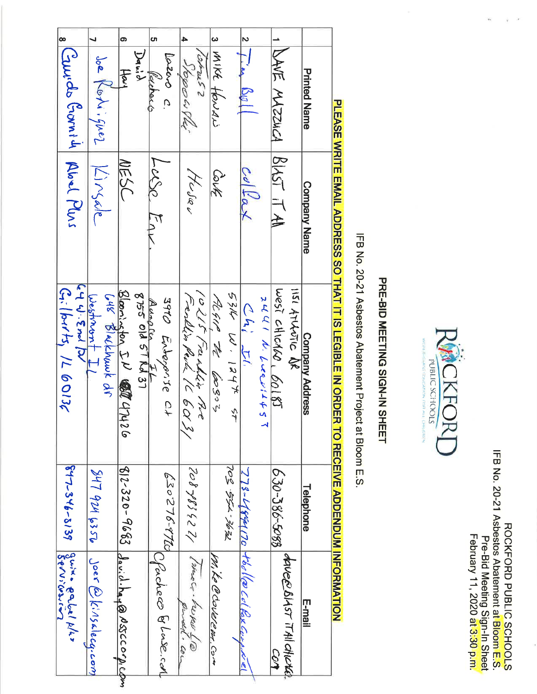ROCKFORD PUBLIC SCHOOLS<br>IFB No. 20-21 Asbestos Abatement at Bloom E.S.<br>Pre-Bid Meeting Sign-In Sheet<br>February 11, 2020 at 3:30 p.m.



# PRE-BID MEETING SIGN-IN SHEET

IFB No. 20-21 Asbestos Abatement Project at Bloom E.S.

| guix paloi plis<br>Servicosco                | 847-346-3139                       | Ky 4.5ml DV<br>$G$ . (b1/ts, /L 60136                                                  |                     | 8 Couvids Grovnity Aboul Plus |           |
|----------------------------------------------|------------------------------------|----------------------------------------------------------------------------------------|---------------------|-------------------------------|-----------|
| $J$ oer $\mathcal{O}(k^{\prime}/3$ klecq.com | 247 924 6350                       | Westmant II<br>C48 Blackhaunk dr                                                       | Kingdle             | Joe Kotiiquez                 |           |
|                                              | 812-320-9683 Jav.d.ha.@NSSC0.p.com | Bloomington IN CONT 47426                                                              | NESC                | <b>Harl</b>                   | ග,        |
|                                              |                                    | Aunoien FL<br>8755 old 51 Nd 37                                                        |                     | Dawa                          |           |
| CPacheco & Lose.com                          | 026-375-876                        | 3910 Entoporise Ct                                                                     | LuSo Enk            | Lozero c.<br>Werchard         | <b>ហា</b> |
| (shoer-heper Le                              | 12336202                           | 10215 Franklin Por                                                                     | Husau               | 4<br>esmyo<br>Japow Plu       |           |
| Mi Le Ce coverenz, com                       |                                    | Algin to 60303                                                                         | DIK                 | 3 MIKE flowaw                 |           |
|                                              | 7296-755.502                       | 53K W. 1244 ST                                                                         |                     |                               |           |
|                                              | 773-4894170 Hbolle Col Pexcom      | 2441 h<br>اس أيمان                                                                     | Collar              | $2\frac{1}{l}$ in Boll        |           |
|                                              | 630-386-5088                       | West CHICALO, 60185                                                                    |                     | - INA所 MASSISA IRIAST IT      |           |
| davee Biyst it All chletch                   |                                    | <b>IISI ATLANTIC DR</b>                                                                |                     |                               |           |
|                                              | Telephone                          | Company Address                                                                        | <b>Company Name</b> | <b>Printed Name</b>           |           |
|                                              |                                    | PLEASE WRITE EMAIL ADDRESS SO THAT IT IS LEGIBLE IN OR TO RECEIVE ADDENDUM INFORMATION |                     |                               |           |